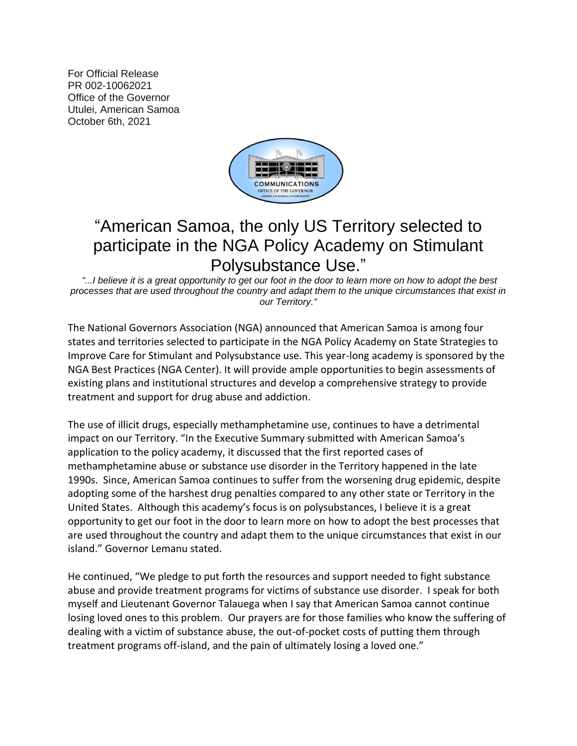For Official Release PR 002-10062021 Office of the Governor Utulei, American Samoa October 6th, 2021



## "American Samoa, the only US Territory selected to participate in the NGA Policy Academy on Stimulant Polysubstance Use."

*"...I believe it is a great opportunity to get our foot in the door to learn more on how to adopt the best processes that are used throughout the country and adapt them to the unique circumstances that exist in our Territory."*

The National Governors Association (NGA) announced that American Samoa is among four states and territories selected to participate in the NGA Policy Academy on State Strategies to Improve Care for Stimulant and Polysubstance use. This year-long academy is sponsored by the NGA Best Practices (NGA Center). It will provide ample opportunities to begin assessments of existing plans and institutional structures and develop a comprehensive strategy to provide treatment and support for drug abuse and addiction.

The use of illicit drugs, especially methamphetamine use, continues to have a detrimental impact on our Territory. "In the Executive Summary submitted with American Samoa's application to the policy academy, it discussed that the first reported cases of methamphetamine abuse or substance use disorder in the Territory happened in the late 1990s. Since, American Samoa continues to suffer from the worsening drug epidemic, despite adopting some of the harshest drug penalties compared to any other state or Territory in the United States. Although this academy's focus is on polysubstances, I believe it is a great opportunity to get our foot in the door to learn more on how to adopt the best processes that are used throughout the country and adapt them to the unique circumstances that exist in our island." Governor Lemanu stated.

He continued, "We pledge to put forth the resources and support needed to fight substance abuse and provide treatment programs for victims of substance use disorder. I speak for both myself and Lieutenant Governor Talauega when I say that American Samoa cannot continue losing loved ones to this problem. Our prayers are for those families who know the suffering of dealing with a victim of substance abuse, the out-of-pocket costs of putting them through treatment programs off-island, and the pain of ultimately losing a loved one."